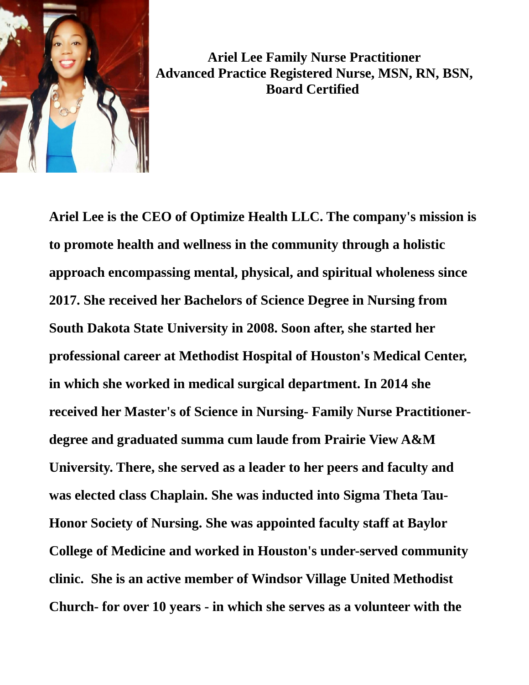

**Ariel Lee Family Nurse Practitioner Advanced Practice Registered Nurse, MSN, RN, BSN, Board Certified** 

**Ariel Lee is the CEO of Optimize Health LLC. The company's mission is to promote health and wellness in the community through a holistic approach encompassing mental, physical, and spiritual wholeness since 2017. She received her Bachelors of Science Degree in Nursing from South Dakota State University in 2008. Soon after, she started her professional career at Methodist Hospital of Houston's Medical Center, in which she worked in medical surgical department. In 2014 she received her Master's of Science in Nursing- Family Nurse Practitionerdegree and graduated summa cum laude from Prairie View A&M University. There, she served as a leader to her peers and faculty and was elected class Chaplain. She was inducted into Sigma Theta Tau-Honor Society of Nursing. She was appointed faculty staff at Baylor College of Medicine and worked in Houston's under-served community clinic. She is an active member of Windsor Village United Methodist Church- for over 10 years - in which she serves as a volunteer with the**